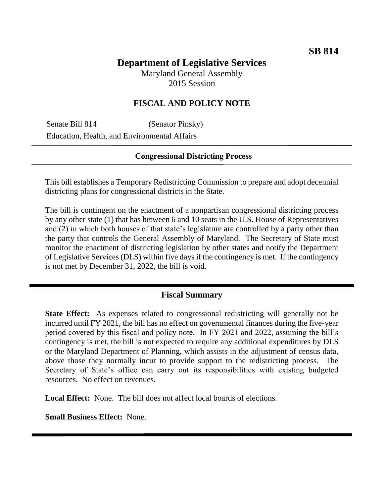# **Department of Legislative Services**

Maryland General Assembly 2015 Session

## **FISCAL AND POLICY NOTE**

Senate Bill 814 (Senator Pinsky) Education, Health, and Environmental Affairs

#### **Congressional Districting Process**

This bill establishes a Temporary Redistricting Commission to prepare and adopt decennial districting plans for congressional districts in the State.

The bill is contingent on the enactment of a nonpartisan congressional districting process by any other state (1) that has between 6 and 10 seats in the U.S. House of Representatives and (2) in which both houses of that state's legislature are controlled by a party other than the party that controls the General Assembly of Maryland. The Secretary of State must monitor the enactment of districting legislation by other states and notify the Department of Legislative Services (DLS) within five days if the contingency is met. If the contingency is not met by December 31, 2022, the bill is void.

## **Fiscal Summary**

**State Effect:** As expenses related to congressional redistricting will generally not be incurred until FY 2021, the bill has no effect on governmental finances during the five-year period covered by this fiscal and policy note. In FY 2021 and 2022, assuming the bill's contingency is met, the bill is not expected to require any additional expenditures by DLS or the Maryland Department of Planning, which assists in the adjustment of census data, above those they normally incur to provide support to the redistricting process. The Secretary of State's office can carry out its responsibilities with existing budgeted resources. No effect on revenues.

**Local Effect:** None. The bill does not affect local boards of elections.

**Small Business Effect:** None.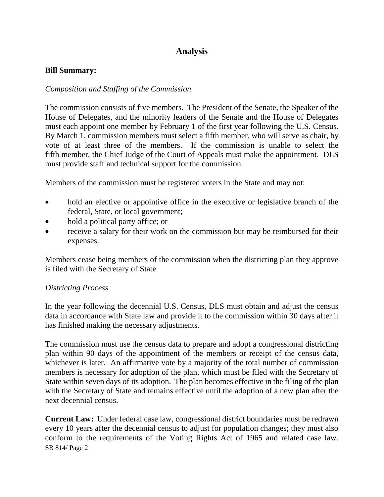## **Analysis**

### **Bill Summary:**

## *Composition and Staffing of the Commission*

The commission consists of five members. The President of the Senate, the Speaker of the House of Delegates, and the minority leaders of the Senate and the House of Delegates must each appoint one member by February 1 of the first year following the U.S. Census. By March 1, commission members must select a fifth member, who will serve as chair, by vote of at least three of the members. If the commission is unable to select the fifth member, the Chief Judge of the Court of Appeals must make the appointment. DLS must provide staff and technical support for the commission.

Members of the commission must be registered voters in the State and may not:

- hold an elective or appointive office in the executive or legislative branch of the federal, State, or local government;
- hold a political party office; or
- receive a salary for their work on the commission but may be reimbursed for their expenses.

Members cease being members of the commission when the districting plan they approve is filed with the Secretary of State.

## *Districting Process*

In the year following the decennial U.S. Census, DLS must obtain and adjust the census data in accordance with State law and provide it to the commission within 30 days after it has finished making the necessary adjustments.

The commission must use the census data to prepare and adopt a congressional districting plan within 90 days of the appointment of the members or receipt of the census data, whichever is later. An affirmative vote by a majority of the total number of commission members is necessary for adoption of the plan, which must be filed with the Secretary of State within seven days of its adoption. The plan becomes effective in the filing of the plan with the Secretary of State and remains effective until the adoption of a new plan after the next decennial census.

SB 814/ Page 2 **Current Law:** Under federal case law, congressional district boundaries must be redrawn every 10 years after the decennial census to adjust for population changes; they must also conform to the requirements of the Voting Rights Act of 1965 and related case law.